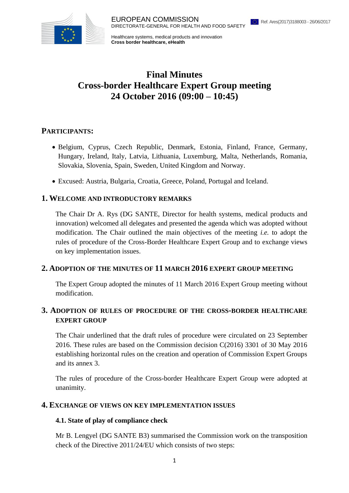

Healthcare systems, medical products and innovation **Cross border healthcare, eHealth** 

# **Final Minutes Cross-border Healthcare Expert Group meeting 24 October 2016 (09:00 – 10:45)**

## **PARTICIPANTS:**

- Belgium, Cyprus, Czech Republic, Denmark, Estonia, Finland, France, Germany, Hungary, Ireland, Italy, Latvia, Lithuania, Luxemburg, Malta, Netherlands, Romania, Slovakia, Slovenia, Spain, Sweden, United Kingdom and Norway.
- Excused: Austria, Bulgaria, Croatia, Greece, Poland, Portugal and Iceland.

### **1. WELCOME AND INTRODUCTORY REMARKS**

The Chair Dr A. Rys (DG SANTE, Director for health systems, medical products and innovation) welcomed all delegates and presented the agenda which was adopted without modification. The Chair outlined the main objectives of the meeting *i.e.* to adopt the rules of procedure of the Cross-Border Healthcare Expert Group and to exchange views on key implementation issues.

### **2. ADOPTION OF THE MINUTES OF 11 MARCH 2016 EXPERT GROUP MEETING**

The Expert Group adopted the minutes of 11 March 2016 Expert Group meeting without modification.

## **3. ADOPTION OF RULES OF PROCEDURE OF THE CROSS-BORDER HEALTHCARE EXPERT GROUP**

The Chair underlined that the draft rules of procedure were circulated on 23 September 2016. These rules are based on the Commission decision C(2016) 3301 of 30 May 2016 establishing horizontal rules on the creation and operation of Commission Expert Groups and its annex 3.

The rules of procedure of the Cross-border Healthcare Expert Group were adopted at unanimity.

### **4. EXCHANGE OF VIEWS ON KEY IMPLEMENTATION ISSUES**

### **4.1. State of play of compliance check**

Mr B. Lengyel (DG SANTE B3) summarised the Commission work on the transposition check of the Directive 2011/24/EU which consists of two steps: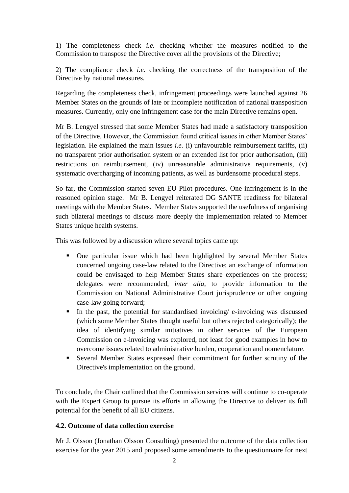1) The completeness check *i.e.* checking whether the measures notified to the Commission to transpose the Directive cover all the provisions of the Directive;

2) The compliance check *i.e.* checking the correctness of the transposition of the Directive by national measures.

Regarding the completeness check, infringement proceedings were launched against 26 Member States on the grounds of late or incomplete notification of national transposition measures. Currently, only one infringement case for the main Directive remains open.

Mr B. Lengyel stressed that some Member States had made a satisfactory transposition of the Directive. However, the Commission found critical issues in other Member States' legislation. He explained the main issues *i.e.* (i) unfavourable reimbursement tariffs, (ii) no transparent prior authorisation system or an extended list for prior authorisation, (iii) restrictions on reimbursement, (iv) unreasonable administrative requirements, (v) systematic overcharging of incoming patients, as well as burdensome procedural steps.

So far, the Commission started seven EU Pilot procedures. One infringement is in the reasoned opinion stage. Mr B. Lengyel reiterated DG SANTE readiness for bilateral meetings with the Member States. Member States supported the usefulness of organising such bilateral meetings to discuss more deeply the implementation related to Member States unique health systems.

This was followed by a discussion where several topics came up:

- One particular issue which had been highlighted by several Member States concerned ongoing case-law related to the Directive; an exchange of information could be envisaged to help Member States share experiences on the process; delegates were recommended, *inter alia*, to provide information to the Commission on National Administrative Court jurisprudence or other ongoing case-law going forward;
- In the past, the potential for standardised invoicing/ e-invoicing was discussed (which some Member States thought useful but others rejected categorically); the idea of identifying similar initiatives in other services of the European Commission on e-invoicing was explored, not least for good examples in how to overcome issues related to administrative burden, cooperation and nomenclature.
- Several Member States expressed their commitment for further scrutiny of the Directive's implementation on the ground.

To conclude, the Chair outlined that the Commission services will continue to co-operate with the Expert Group to pursue its efforts in allowing the Directive to deliver its full potential for the benefit of all EU citizens.

### **4.2. Outcome of data collection exercise**

Mr J. Olsson (Jonathan Olsson Consulting) presented the outcome of the data collection exercise for the year 2015 and proposed some amendments to the questionnaire for next